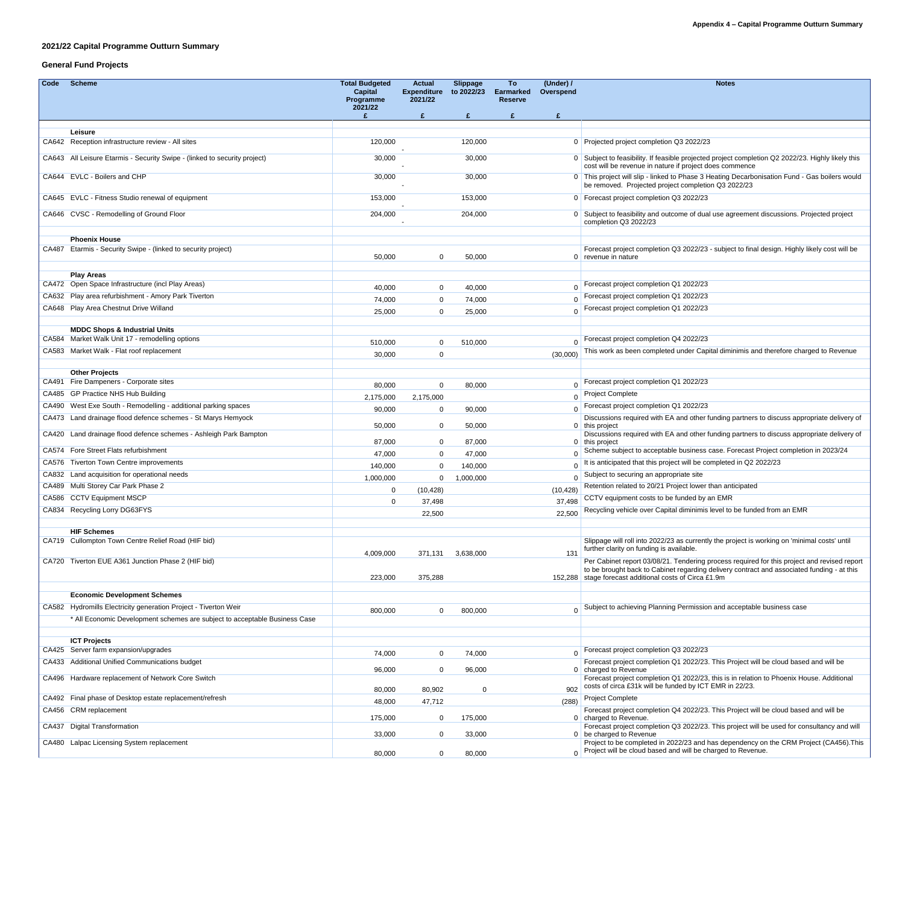### **2021/22 Capital Programme Outturn Summary**

## **General Fund Projects**

| Code | <b>Scheme</b>                                                                               | <b>Total Budgeted</b><br><b>Capital</b><br>Programme | <b>Actual</b><br><b>Expenditure</b><br>2021/22 | <b>Slippage</b><br>to 2022/23 | To<br><b>Earmarked</b><br><b>Reserve</b> | (Under) /<br>Overspend | <b>Notes</b>                                                                                                                                                   |  |
|------|---------------------------------------------------------------------------------------------|------------------------------------------------------|------------------------------------------------|-------------------------------|------------------------------------------|------------------------|----------------------------------------------------------------------------------------------------------------------------------------------------------------|--|
|      |                                                                                             | 2021/22                                              | $\mathbf{f}$                                   | £                             | $\mathbf{f}$                             | $\mathbf f$            |                                                                                                                                                                |  |
|      |                                                                                             |                                                      |                                                |                               |                                          |                        |                                                                                                                                                                |  |
|      | Leisure<br>CA642 Reception infrastructure review - All sites                                | 120,000                                              |                                                | 120,000                       |                                          |                        | 0 Projected project completion Q3 2022/23                                                                                                                      |  |
|      | CA643 All Leisure Etarmis - Security Swipe - (linked to security project)                   | 30,000                                               |                                                | 30,000                        |                                          |                        | 0 Subject to feasibility. If feasible projected project completion Q2 2022/23. Highly likely this<br>cost will be revenue in nature if project does commence   |  |
|      | CA644 EVLC - Boilers and CHP                                                                | 30,000                                               |                                                | 30,000                        |                                          |                        | 0 This project will slip - linked to Phase 3 Heating Decarbonisation Fund - Gas boilers would<br>be removed. Projected project completion Q3 2022/23           |  |
|      | CA645 EVLC - Fitness Studio renewal of equipment                                            | 153,000                                              |                                                | 153,000                       |                                          |                        | 0   Forecast project completion Q3 2022/23                                                                                                                     |  |
|      | CA646 CVSC - Remodelling of Ground Floor                                                    | 204,000                                              |                                                | 204,000                       |                                          |                        | 0 Subject to feasibility and outcome of dual use agreement discussions. Projected project<br>completion Q3 2022/23                                             |  |
|      | <b>Phoenix House</b>                                                                        |                                                      |                                                |                               |                                          |                        |                                                                                                                                                                |  |
|      | CA487 Etarmis - Security Swipe - (linked to security project)                               | 50,000                                               | $\Omega$                                       | 50,000                        |                                          |                        | Forecast project completion Q3 2022/23 - subject to final design. Highly likely cost will be<br>0 revenue in nature                                            |  |
|      | <b>Play Areas</b><br>CA472 Open Space Infrastructure (incl Play Areas)                      |                                                      |                                                |                               |                                          |                        | Forecast project completion Q1 2022/23                                                                                                                         |  |
|      | CA632 Play area refurbishment - Amory Park Tiverton                                         | 40,000                                               | $\overline{0}$                                 | 40,000                        |                                          |                        | 0   Forecast project completion Q1 2022/23                                                                                                                     |  |
|      | CA648 Play Area Chestnut Drive Willand                                                      | 74,000                                               | $\overline{0}$                                 | 74,000                        |                                          |                        | 0   Forecast project completion Q1 2022/23                                                                                                                     |  |
|      |                                                                                             | 25,000                                               | $\overline{0}$                                 | 25,000                        |                                          |                        |                                                                                                                                                                |  |
|      | <b>MDDC Shops &amp; Industrial Units</b><br>CA584 Market Walk Unit 17 - remodelling options |                                                      |                                                |                               |                                          |                        | Forecast project completion Q4 2022/23                                                                                                                         |  |
|      | CA583 Market Walk - Flat roof replacement                                                   | 510,000                                              | $\Omega$                                       | 510,000                       |                                          |                        | This work as been completed under Capital diminimis and therefore charged to Revenue                                                                           |  |
|      |                                                                                             | 30,000                                               | $\overline{0}$                                 |                               |                                          | (30,000)               |                                                                                                                                                                |  |
|      | <b>Other Projects</b><br>CA491 Fire Dampeners - Corporate sites                             |                                                      |                                                |                               |                                          |                        | Forecast project completion Q1 2022/23                                                                                                                         |  |
|      | CA485 GP Practice NHS Hub Building                                                          | 80,000                                               | $\overline{0}$                                 | 80,000                        |                                          |                        | 0 Project Complete                                                                                                                                             |  |
|      | CA490 West Exe South - Remodelling - additional parking spaces                              | 2,175,000                                            | 2,175,000                                      |                               |                                          |                        | 0   Forecast project completion Q1 2022/23                                                                                                                     |  |
|      | CA473 Land drainage flood defence schemes - St Marys Hemyock                                | 90,000                                               | $\mathbf 0$                                    | 90,000                        |                                          |                        | Discussions required with EA and other funding partners to discuss appropriate delivery of                                                                     |  |
|      |                                                                                             | 50,000                                               | $\overline{0}$                                 | 50,000                        |                                          |                        | $0$ this project                                                                                                                                               |  |
|      | CA420 Land drainage flood defence schemes - Ashleigh Park Bampton                           | 87,000                                               | 0                                              | 87,000                        |                                          |                        | Discussions required with EA and other funding partners to discuss appropriate delivery of<br>0 this project                                                   |  |
|      | CA574 Fore Street Flats refurbishment                                                       | 47,000                                               | $\overline{0}$                                 | 47,000                        |                                          |                        | Scheme subject to acceptable business case. Forecast Project completion in 2023/24                                                                             |  |
|      | CA576 Tiverton Town Centre improvements                                                     | 140,000                                              | $\overline{0}$                                 | 140,000                       |                                          |                        | It is anticipated that this project will be completed in Q2 2022/23                                                                                            |  |
|      | CA832 Land acquisition for operational needs                                                | 1,000,000                                            | $\overline{0}$                                 | 1,000,000                     |                                          | 0 <sup>1</sup>         | Subject to securing an appropriate site                                                                                                                        |  |
|      | CA489 Multi Storey Car Park Phase 2                                                         |                                                      | (10, 428)                                      |                               |                                          | (10, 428)              | Retention related to 20/21 Project lower than anticipated                                                                                                      |  |
|      | CA586 CCTV Equipment MSCP                                                                   |                                                      | 37,498                                         |                               |                                          | 37,498                 | CCTV equipment costs to be funded by an EMR                                                                                                                    |  |
|      | CA834 Recycling Lorry DG63FYS                                                               |                                                      | 22,500                                         |                               |                                          | 22,500                 | Recycling vehicle over Capital diminimis level to be funded from an EMR                                                                                        |  |
|      | <b>HIF Schemes</b>                                                                          |                                                      |                                                |                               |                                          |                        |                                                                                                                                                                |  |
|      | CA719 Cullompton Town Centre Relief Road (HIF bid)                                          | 4,009,000                                            | 371,131                                        | 3,638,000                     |                                          | 131                    | Slippage will roll into 2022/23 as currently the project is working on 'minimal costs' until<br>further clarity on funding is available.                       |  |
|      | CA720 Tiverton EUE A361 Junction Phase 2 (HIF bid)                                          |                                                      |                                                |                               |                                          |                        | Per Cabinet report 03/08/21. Tendering process required for this project and revised report                                                                    |  |
|      |                                                                                             | 223,000                                              | 375,288                                        |                               |                                          |                        | to be brought back to Cabinet regarding delivery contract and associated funding - at this<br>152,288 stage forecast additional costs of Circa £1.9m           |  |
|      | <b>Economic Development Schemes</b>                                                         |                                                      |                                                |                               |                                          |                        |                                                                                                                                                                |  |
|      | CA582 Hydromills Electricity generation Project - Tiverton Weir                             |                                                      |                                                |                               |                                          |                        | Subject to achieving Planning Permission and acceptable business case                                                                                          |  |
|      | * All Economic Development schemes are subject to acceptable Business Case                  | 800,000                                              | $\Omega$                                       | 800,000                       |                                          |                        |                                                                                                                                                                |  |
|      | <b>ICT Projects</b>                                                                         |                                                      |                                                |                               |                                          |                        |                                                                                                                                                                |  |
|      | CA425 Server farm expansion/upgrades                                                        | 74,000                                               | $\overline{0}$                                 | 74,000                        |                                          |                        | Forecast project completion Q3 2022/23                                                                                                                         |  |
|      | CA433 Additional Unified Communications budget                                              |                                                      |                                                |                               |                                          |                        | Forecast project completion Q1 2022/23. This Project will be cloud based and will be                                                                           |  |
|      | CA496 Hardware replacement of Network Core Switch                                           | 96,000                                               | $\overline{0}$                                 | 96,000                        |                                          |                        | 0 charged to Revenue<br>Forecast project completion Q1 2022/23, this is in relation to Phoenix House. Additional                                               |  |
|      |                                                                                             | 80,000                                               | 80,902                                         | $\mathbf 0$                   |                                          | 902                    | costs of circa £31k will be funded by ICT EMR in 22/23.                                                                                                        |  |
|      | CA492 Final phase of Desktop estate replacement/refresh                                     | 48,000                                               | 47,712                                         |                               |                                          | (288)                  | <b>Project Complete</b>                                                                                                                                        |  |
|      | CA456 CRM replacement                                                                       | 175,000                                              | $\overline{0}$                                 | 175,000                       |                                          |                        | Forecast project completion Q4 2022/23. This Project will be cloud based and will be<br>0   charged to Revenue.                                                |  |
|      | CA437 Digital Transformation                                                                | 33,000                                               | 0                                              | 33,000                        |                                          |                        | Forecast project completion Q3 2022/23. This project will be used for consultancy and will<br>0 be charged to Revenue                                          |  |
|      | CA480 Lalpac Licensing System replacement                                                   | 80,000                                               | $\overline{0}$                                 | 80,000                        |                                          |                        | Project to be completed in 2022/23 and has dependency on the CRM Project (CA456). This<br>$\sigma$ Project will be cloud based and will be charged to Revenue. |  |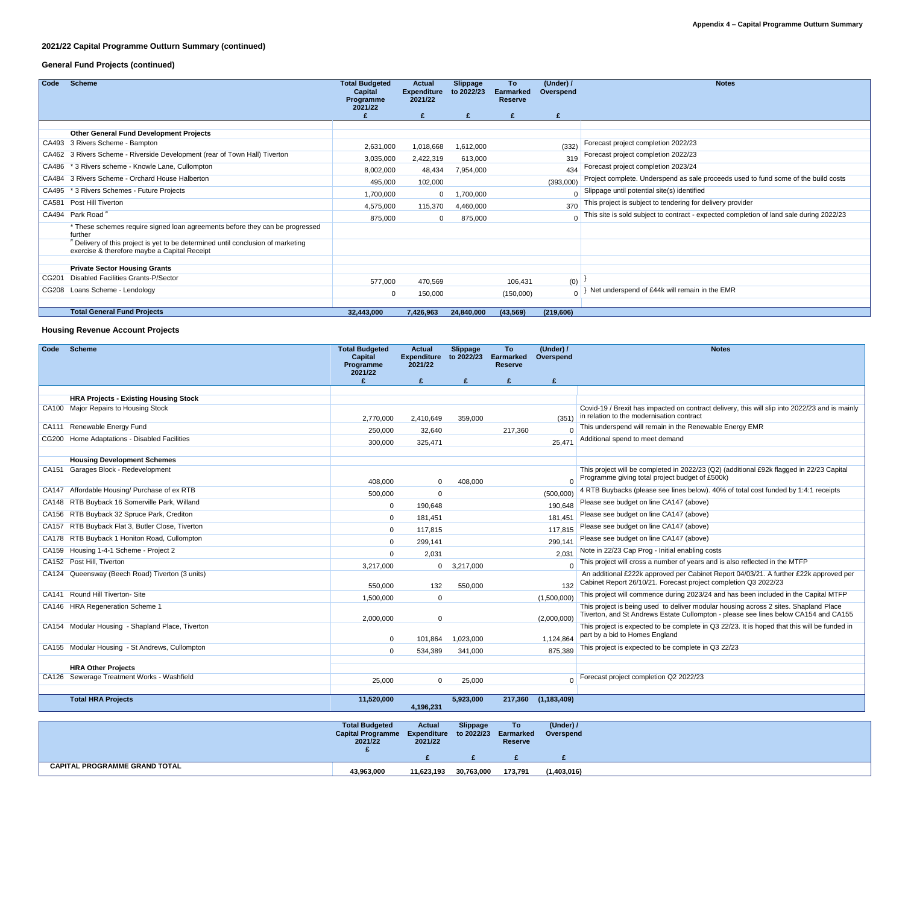## **2021/22 Capital Programme Outturn Summary (continued)**

## **General Fund Projects (continued)**

| Code  | <b>Scheme</b>                                                                                                                    | <b>Total Budgeted</b><br><b>Capital</b><br>Programme<br>2021/22 | <b>Actual</b><br><b>Expenditure</b><br>2021/22 | <b>Slippage</b><br>to 2022/23 | To<br><b>Earmarked</b><br><b>Reserve</b> | (Under) /<br>Overspend | <b>Notes</b>                                                                            |
|-------|----------------------------------------------------------------------------------------------------------------------------------|-----------------------------------------------------------------|------------------------------------------------|-------------------------------|------------------------------------------|------------------------|-----------------------------------------------------------------------------------------|
|       |                                                                                                                                  |                                                                 | £                                              | $\mathbf{f}$                  | $\mathbf{f}$                             |                        |                                                                                         |
|       |                                                                                                                                  |                                                                 |                                                |                               |                                          |                        |                                                                                         |
|       | <b>Other General Fund Development Projects</b>                                                                                   |                                                                 |                                                |                               |                                          |                        |                                                                                         |
|       | CA493 3 Rivers Scheme - Bampton                                                                                                  | 2,631,000                                                       | 1,018,668                                      | 1,612,000                     |                                          | (332)                  | Forecast project completion 2022/23                                                     |
|       | CA462 3 Rivers Scheme - Riverside Development (rear of Town Hall) Tiverton                                                       | 3,035,000                                                       | 2,422,319                                      | 613,000                       |                                          | 319                    | Forecast project completion 2022/23                                                     |
|       | CA486 * 3 Rivers scheme - Knowle Lane, Cullompton                                                                                | 8,002,000                                                       | 48,434                                         | 7,954,000                     |                                          | 434                    | Forecast project completion 2023/24                                                     |
|       | CA484 3 Rivers Scheme - Orchard House Halberton                                                                                  | 495,000                                                         | 102,000                                        |                               |                                          | (393,000)              | Project complete. Underspend as sale proceeds used to fund some of the build costs      |
|       | CA495 * 3 Rivers Schemes - Future Projects                                                                                       | 1,700,000                                                       | $\overline{0}$                                 | 1,700,000                     |                                          | $\overline{0}$         | Slippage until potential site(s) identified                                             |
| CA581 | <b>Post Hill Tiverton</b>                                                                                                        | 4,575,000                                                       | 115,370                                        | 4,460,000                     |                                          | 370                    | This project is subject to tendering for delivery provider                              |
|       | CA494 Park Road <sup>#</sup>                                                                                                     | 875,000                                                         | $\overline{0}$                                 | 875,000                       |                                          | $\Omega$               | This site is sold subject to contract - expected completion of land sale during 2022/23 |
|       | * These schemes require signed loan agreements before they can be progressed<br>further                                          |                                                                 |                                                |                               |                                          |                        |                                                                                         |
|       | # Delivery of this project is yet to be determined until conclusion of marketing<br>exercise & therefore maybe a Capital Receipt |                                                                 |                                                |                               |                                          |                        |                                                                                         |
|       |                                                                                                                                  |                                                                 |                                                |                               |                                          |                        |                                                                                         |
|       | <b>Private Sector Housing Grants</b>                                                                                             |                                                                 |                                                |                               |                                          |                        |                                                                                         |
| CG201 | <b>Disabled Facilities Grants-P/Sector</b>                                                                                       | 577,000                                                         | 470,569                                        |                               | 106,431                                  | (0)                    |                                                                                         |
|       | CG208 Loans Scheme - Lendology                                                                                                   |                                                                 | 150,000                                        |                               | (150,000)                                | $\overline{0}$         | Net underspend of £44k will remain in the EMR                                           |
|       |                                                                                                                                  |                                                                 |                                                |                               |                                          |                        |                                                                                         |
|       | <b>Total General Fund Projects</b>                                                                                               | 32,443,000                                                      | 7,426,963                                      | 24,840,000                    | (43, 569)                                | (219, 606)             |                                                                                         |

### **Housing Revenue Account Projects**

| Code | <b>Scheme</b>                                                                        | <b>Total Budgeted</b><br><b>Capital</b><br>Programme<br>2021/22 | <b>Actual</b><br><b>Expenditure</b><br>2021/22 | <b>Slippage</b><br>to 2022/23 | To<br><b>Earmarked</b><br><b>Reserve</b> | (Under) /<br>Overspend | <b>Notes</b>                                                                                                                                                                |
|------|--------------------------------------------------------------------------------------|-----------------------------------------------------------------|------------------------------------------------|-------------------------------|------------------------------------------|------------------------|-----------------------------------------------------------------------------------------------------------------------------------------------------------------------------|
|      |                                                                                      |                                                                 | $\mathbf{f}$                                   | £                             | £                                        | £                      |                                                                                                                                                                             |
|      |                                                                                      |                                                                 |                                                |                               |                                          |                        |                                                                                                                                                                             |
|      | <b>HRA Projects - Existing Housing Stock</b><br>CA100 Major Repairs to Housing Stock |                                                                 |                                                |                               |                                          |                        |                                                                                                                                                                             |
|      |                                                                                      | 2,770,000                                                       | 2,410,649                                      | 359,000                       |                                          | (351)                  | Covid-19 / Brexit has impacted on contract delivery, this will slip into 2022/23 and is mainly<br>in relation to the modernisation contract                                 |
|      | CA111 Renewable Energy Fund                                                          | 250,000                                                         | 32,640                                         |                               | 217,360                                  |                        | This underspend will remain in the Renewable Energy EMR                                                                                                                     |
|      | CG200 Home Adaptations - Disabled Facilities                                         | 300,000                                                         | 325,471                                        |                               |                                          | 25,471                 | Additional spend to meet demand                                                                                                                                             |
|      |                                                                                      |                                                                 |                                                |                               |                                          |                        |                                                                                                                                                                             |
|      | <b>Housing Development Schemes</b>                                                   |                                                                 |                                                |                               |                                          |                        |                                                                                                                                                                             |
|      | CA151 Garages Block - Redevelopment                                                  | 408,000                                                         | $\overline{0}$                                 | 408,000                       |                                          | $\overline{0}$         | This project will be completed in 2022/23 (Q2) (additional £92k flagged in 22/23 Capital<br>Programme giving total project budget of £500k)                                 |
|      | CA147 Affordable Housing/ Purchase of ex RTB                                         | 500,000                                                         | $\overline{0}$                                 |                               |                                          | (500,000)              | 4 RTB Buybacks (please see lines below). 40% of total cost funded by 1:4:1 receipts                                                                                         |
|      | CA148 RTB Buyback 16 Somerville Park, Willand                                        |                                                                 | 190,648                                        |                               |                                          | 190,648                | Please see budget on line CA147 (above)                                                                                                                                     |
|      | CA156 RTB Buyback 32 Spruce Park, Crediton                                           |                                                                 | 181,451                                        |                               |                                          | 181,451                | Please see budget on line CA147 (above)                                                                                                                                     |
|      | CA157 RTB Buyback Flat 3, Butler Close, Tiverton                                     |                                                                 | 117,815                                        |                               |                                          | 117,815                | Please see budget on line CA147 (above)                                                                                                                                     |
|      | CA178 RTB Buyback 1 Honiton Road, Cullompton                                         |                                                                 | 299,141                                        |                               |                                          | 299,141                | Please see budget on line CA147 (above)                                                                                                                                     |
|      | CA159 Housing 1-4-1 Scheme - Project 2                                               |                                                                 | 2,031                                          |                               |                                          | 2,031                  | Note in 22/23 Cap Prog - Initial enabling costs                                                                                                                             |
|      | CA152 Post Hill, Tiverton                                                            | 3,217,000                                                       | $\mathbf 0$                                    | 3,217,000                     |                                          | $\overline{0}$         | This project will cross a number of years and is also reflected in the MTFP                                                                                                 |
|      | CA124 Queensway (Beech Road) Tiverton (3 units)                                      | 550,000                                                         | 132                                            | 550,000                       |                                          | 132                    | An additional £222k approved per Cabinet Report 04/03/21. A further £22k approved per<br>Cabinet Report 26/10/21. Forecast project completion Q3 2022/23                    |
|      | CA141 Round Hill Tiverton- Site                                                      | 1,500,000                                                       | $\mathbf 0$                                    |                               |                                          | (1,500,000)            | This project will commence during 2023/24 and has been included in the Capital MTFP                                                                                         |
|      | CA146 HRA Regeneration Scheme 1                                                      | 2,000,000                                                       | $\mathbf 0$                                    |                               |                                          | (2,000,000)            | This project is being used to deliver modular housing across 2 sites. Shapland Place<br>Tiverton, and St Andrews Estate Cullompton - please see lines below CA154 and CA155 |
|      | CA154 Modular Housing - Shapland Place, Tiverton                                     |                                                                 | 101,864                                        | 1,023,000                     |                                          | 1,124,864              | This project is expected to be complete in Q3 22/23. It is hoped that this will be funded in<br>part by a bid to Homes England                                              |
|      | CA155 Modular Housing - St Andrews, Cullompton                                       |                                                                 | 534,389                                        | 341,000                       |                                          | 875,389                | This project is expected to be complete in Q3 22/23                                                                                                                         |
|      |                                                                                      |                                                                 |                                                |                               |                                          |                        |                                                                                                                                                                             |
|      | <b>HRA Other Projects</b>                                                            |                                                                 |                                                |                               |                                          |                        |                                                                                                                                                                             |
|      | CA126 Sewerage Treatment Works - Washfield                                           | 25,000                                                          | $\overline{0}$                                 | 25,000                        |                                          |                        | 0   Forecast project completion Q2 2022/23                                                                                                                                  |
|      |                                                                                      |                                                                 |                                                |                               |                                          |                        |                                                                                                                                                                             |
|      | <b>Total HRA Projects</b>                                                            | 11,520,000                                                      | 4,196,231                                      | 5,923,000                     |                                          | 217,360 (1,183,409)    |                                                                                                                                                                             |

|                                      | <b>Total Budgeted</b><br>Capital Programme Expenditure to 2022/23 Earmarked<br>2021/22 | <b>Actual</b><br>2021/22 | <b>Slippage</b> | To<br><b>Reserve</b> | (Under) /<br>Overspend |
|--------------------------------------|----------------------------------------------------------------------------------------|--------------------------|-----------------|----------------------|------------------------|
|                                      |                                                                                        |                          |                 |                      |                        |
| <b>CAPITAL PROGRAMME GRAND TOTAL</b> | 43,963,000                                                                             | 11,623,193               | 30,763,000      | 173,791              | (1,403,016)            |